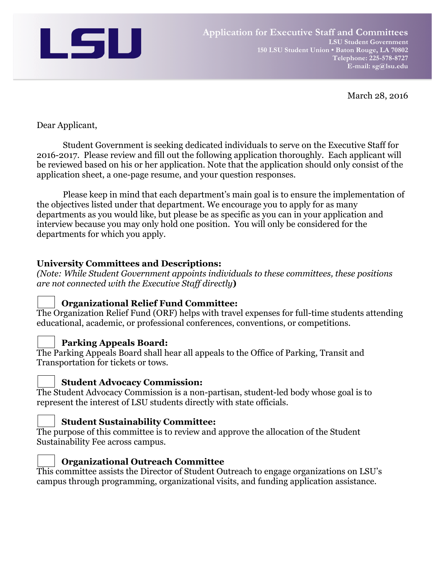

March 28, 2016

### Dear Applicant,

Student Government is seeking dedicated individuals to serve on the Executive Staff for 2016-2017. Please review and fill out the following application thoroughly. Each applicant will be reviewed based on his or her application. Note that the application should only consist of the application sheet, a one-page resume, and your question responses.

Please keep in mind that each department's main goal is to ensure the implementation of the objectives listed under that department. We encourage you to apply for as many departments as you would like, but please be as specific as you can in your application and interview because you may only hold one position. You will only be considered for the departments for which you apply.

### **University Committees and Descriptions:**

*(Note: While Student Government appoints individuals to these committees, these positions are not connected with the Executive Staff directly***)**

# **Organizational Relief Fund Committee:**

The Organization Relief Fund (ORF) helps with travel expenses for full-time students attending educational, academic, or professional conferences, conventions, or competitions.

# **Parking Appeals Board:**

The Parking Appeals Board shall hear all appeals to the Office of Parking, Transit and Transportation for tickets or tows.

### **Student Advocacy Commission:**

The Student Advocacy Commission is a non-partisan, student-led body whose goal is to represent the interest of LSU students directly with state officials.

### **Student Sustainability Committee:**

The purpose of this committee is to review and approve the allocation of the Student Sustainability Fee across campus.



# **Organizational Outreach Committee**

This committee assists the Director of Student Outreach to engage organizations on LSU's campus through programming, organizational visits, and funding application assistance.